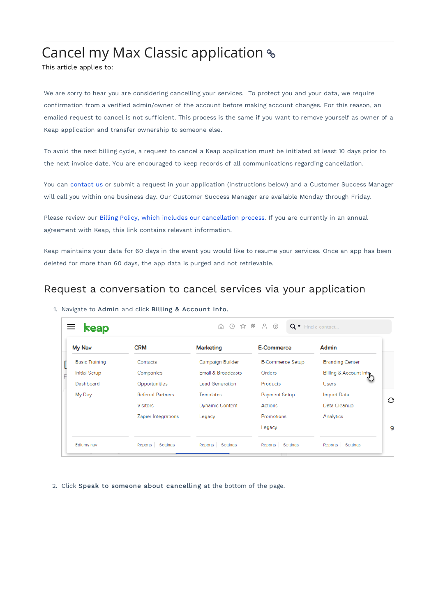## Cancel my Max Classic application

This article applies to:

We are sorry to hear you are considering cancelling your services. To protect you and your data, we require confirmation from a verified admin/owner of the account before making account changes. For this reason, an emailed request to cancel is not sufficient. This process is the same if you want to remove yourself as owner of a Keap application and transfer ownership to someone else.

To avoid the next billing cycle, a request to cancel a Keap application must be initiated at least 10 days prior to the next invoice date. You are encouraged to keep records of all communications regarding cancellation.

You can contact us or submit a request in your application (instructions below) and a Customer Success Manager will call you within one business day. Our Customer Success Manager are available Monday through Friday.

Please review our Billing Policy, which includes our cancellation process. If you are currently in an annual agreement with Keap, this link contains relevant information.

Keap maintains your data for 60 days in the event you would like to resume your services. Once an app has been deleted for more than 60 days, the app data is purged and not retrievable.

## Request a conversation to cancel services via your application

| My Nav                | <b>CRM</b>               | <b>Marketing</b>       | <b>E-Commerce</b>    | Admin                    |
|-----------------------|--------------------------|------------------------|----------------------|--------------------------|
| <b>Basic Training</b> | Contacts                 | Campaign Builder       | E-Commerce Setup     | <b>Branding Center</b>   |
| <b>Initial Setup</b>  | Companies                | Email & Broadcasts     | Orders               | Billing & Account Inform |
| Dashboard             | Opportunities            | <b>Lead Generation</b> | Products             | <b>Users</b>             |
| My Day                | <b>Referral Partners</b> | <b>Templates</b>       | <b>Payment Setup</b> | <b>Import Data</b>       |
|                       | <b>Visitors</b>          | <b>Dynamic Content</b> | Actions              | Data Cleanup             |
|                       | Zapier Integrations      | Legacy                 | Promotions           | Analytics                |
|                       |                          |                        | Legacy               |                          |

1. Navigate to Admin and click Billing & Account Info.

2. Click Speak to someone about cancelling at the bottom of the page.